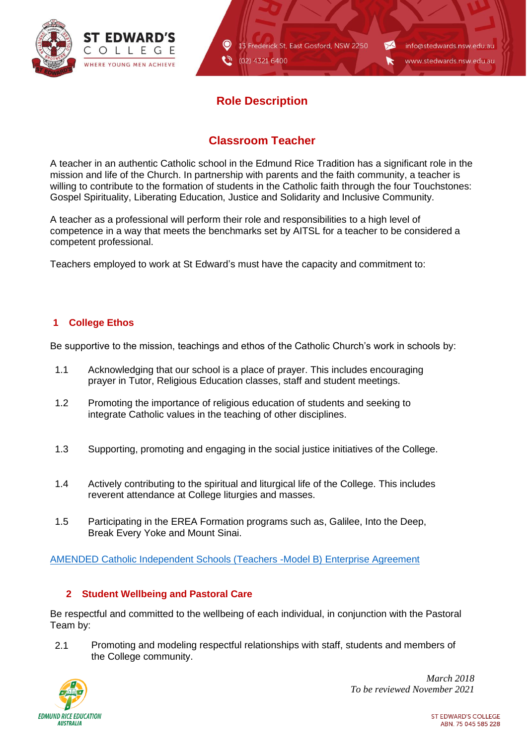

13 Frederick St, East Gosford, NSW 2250 (02) 4321 6400

info@stedwards.nsw.edu.au www.stedwards.nsw.edu.au

 $\sim$ 

r

# **Role Description**

 $\bullet$ 

Q

## **Classroom Teacher**

A teacher in an authentic Catholic school in the Edmund Rice Tradition has a significant role in the mission and life of the Church. In partnership with parents and the faith community, a teacher is willing to contribute to the formation of students in the Catholic faith through the four Touchstones: Gospel Spirituality, Liberating Education, Justice and Solidarity and Inclusive Community.

A teacher as a professional will perform their role and responsibilities to a high level of competence in a way that meets the benchmarks set by AITSL for a teacher to be considered a competent professional.

Teachers employed to work at St Edward's must have the capacity and commitment to:

### **1 College Ethos**

Be supportive to the mission, teachings and ethos of the Catholic Church's work in schools by:

- 1.1 Acknowledging that our school is a place of prayer. This includes encouraging prayer in Tutor, Religious Education classes, staff and student meetings.
- 1.2 Promoting the importance of religious education of students and seeking to integrate Catholic values in the teaching of other disciplines.
- 1.3 Supporting, promoting and engaging in the social justice initiatives of the College.
- 1.4 Actively contributing to the spiritual and liturgical life of the College. This includes reverent attendance at College liturgies and masses.
- 1.5 Participating in the EREA Formation programs such as, Galilee, Into the Deep, Break Every Yoke and Mount Sinai.

[AMENDED Catholic Independent Schools \(Teachers -Model B\) Enterprise Agreement](file://///fs1/Common%20Staff/Communications/Role%20descriptions/Teacher%20Role%20Descripton/AMENDED%20Catholic%20Independent%20Schools%20(Teachers%20-Model%20B)%20Enterprise%20Agre.._.pdf)

#### **2 Student Wellbeing and Pastoral Care**

Be respectful and committed to the wellbeing of each individual, in conjunction with the Pastoral Team by:

2.1 Promoting and modeling respectful relationships with staff, students and members of the College community.

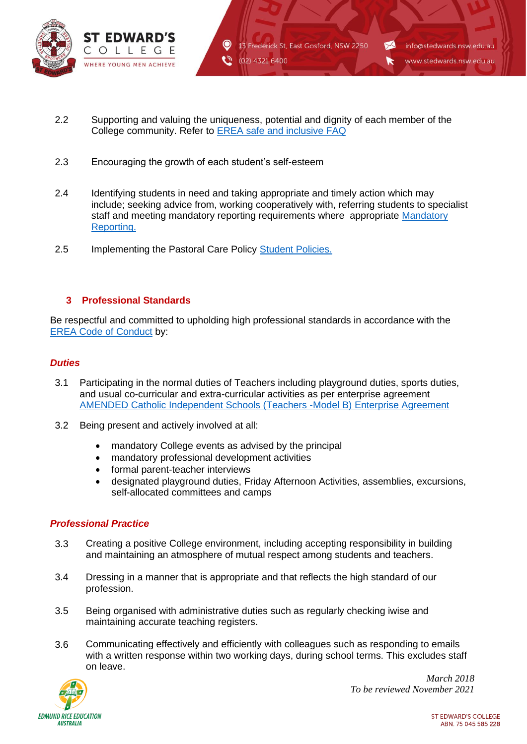

2.2 Supporting and valuing the uniqueness, potential and dignity of each member of the College community. Refer to [EREA safe and inclusive FAQ](file://///fs1/Common%20Staff/Communications/Role%20descriptions/Teacher%20Role%20Descripton/erea_safe_and_inclusive_faq.pdf)

 $\bullet$ 

- 2.3 Encouraging the growth of each student's self-esteem
- 2.4 Identifying students in need and taking appropriate and timely action which may include; seeking advice from, working cooperatively with, referring students to specialist staff and meeting mandatory reporting requirements where appropriate [Mandatory](file://///fs1/Common%20Staff/Communications/College%20Policies/2017%20Policies%20for%20attention%20of%20all%20staff/Mandatory%20Reporting.pdf)  [Reporting.](file://///fs1/Common%20Staff/Communications/College%20Policies/2017%20Policies%20for%20attention%20of%20all%20staff/Mandatory%20Reporting.pdf)
- 2.5 Implementing the Pastoral Care Policy [Student Policies.](file://///fs1/Common%20Staff/Communications/College%20Policies/Student%20Policies.pdf)

#### **3 Professional Standards**

Be respectful and committed to upholding high professional standards in accordance with the [EREA Code of Conduct](https://stedwards.cspace.net.au/EREACodeofConduct) by:

#### *Duties*

- 3.1 Participating in the normal duties of Teachers including playground duties, sports duties, and usual co-curricular and extra-curricular activities as per enterprise agreement [AMENDED Catholic Independent Schools \(Teachers -Model B\) Enterprise Agreement](file://///fs1/Common%20Staff/Communications/Role%20descriptions/Teacher%20Role%20Descripton/AMENDED%20Catholic%20Independent%20Schools%20(Teachers%20-Model%20B)%20Enterprise%20Agre.._.pdf)
- 3.2 Being present and actively involved at all:
	- mandatory College events as advised by the principal
	- mandatory professional development activities
	- formal parent-teacher interviews
	- designated playground duties, Friday Afternoon Activities, assemblies, excursions, self-allocated committees and camps

#### *Professional Practice*

- 3.3 Creating a positive College environment, including accepting responsibility in building and maintaining an atmosphere of mutual respect among students and teachers.
- 3.4 Dressing in a manner that is appropriate and that reflects the high standard of our profession.
- 3.5 Being organised with administrative duties such as regularly checking iwise and maintaining accurate teaching registers.
- 3.6 Communicating effectively and efficiently with colleagues such as responding to emails with a written response within two working days, during school terms. This excludes staff on leave.

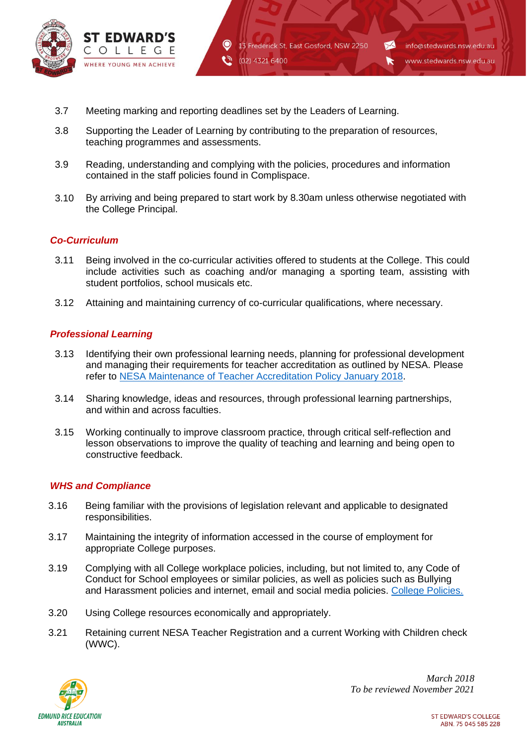

3.7 Meeting marking and reporting deadlines set by the Leaders of Learning.

 $\bullet$ 

- 3.8 Supporting the Leader of Learning by contributing to the preparation of resources, teaching programmes and assessments.
- 3.9 Reading, understanding and complying with the policies, procedures and information contained in the staff policies found in Complispace.
- 3.10 By arriving and being prepared to start work by 8.30am unless otherwise negotiated with the College Principal.

(02) 4321 6400

13 Frederick St, East Gosford, NSW 2250

 $\blacktriangleright$ 

K

info@stedwards.nsw.edu.au

www.stedwards.nsw.edu.au

#### *Co-Curriculum*

- 3.11 Being involved in the co-curricular activities offered to students at the College. This could include activities such as coaching and/or managing a sporting team, assisting with student portfolios, school musicals etc.
- 3.12 Attaining and maintaining currency of co-curricular qualifications, where necessary.

#### *Professional Learning*

- 3.13 Identifying their own professional learning needs, planning for professional development and managing their requirements for teacher accreditation as outlined by NESA. Please refer to [NESA Maintenance of Teacher Accreditation Policy January 2018.](file://///fs1/Common%20Staff/Communications/Role%20descriptions/Teacher%20Role%20Descripton/NESA+Maintenance+of+Teacher+Accreditation+Policy+January+2018.pdf)
- 3.14 Sharing knowledge, ideas and resources, through professional learning partnerships, and within and across faculties.
- 3.15 Working continually to improve classroom practice, through critical self-reflection and lesson observations to improve the quality of teaching and learning and being open to constructive feedback.

#### *WHS and Compliance*

- 3.16 Being familiar with the provisions of legislation relevant and applicable to designated responsibilities.
- 3.17 Maintaining the integrity of information accessed in the course of employment for appropriate College purposes.
- 3.19 Complying with all College workplace policies, including, but not limited to, any Code of Conduct for School employees or similar policies, as well as policies such as Bullying and Harassment policies and internet, email and social media policies. [College Policies.](https://stedwards.cspace.net.au/ChildProtectionHomePage)
- 3.20 Using College resources economically and appropriately.
- 3.21 Retaining current NESA Teacher Registration and a current Working with Children check (WWC).

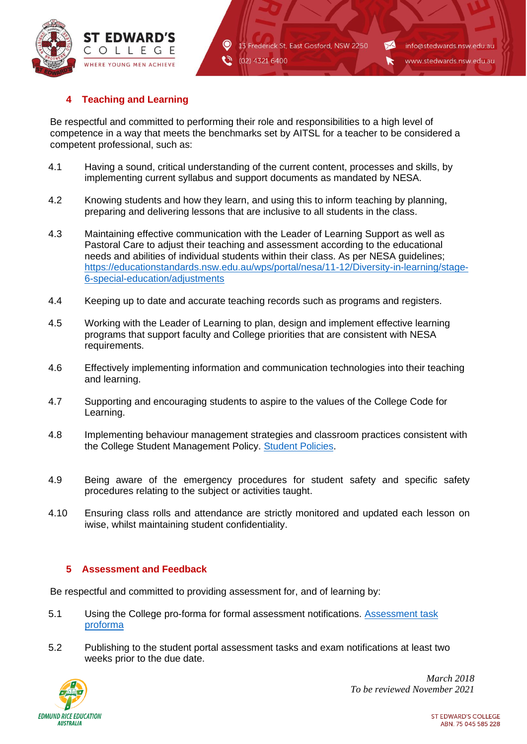

13 Frederick St. East Gosford, NSW 2250 (02) 4321 6400

 $\blacktriangleright$ 

K

## **4 Teaching and Learning**

Be respectful and committed to performing their role and responsibilities to a high level of competence in a way that meets the benchmarks set by AITSL for a teacher to be considered a competent professional, such as:

 $\bullet$ 

- 4.1 Having a sound, critical understanding of the current content, processes and skills, by implementing current syllabus and support documents as mandated by NESA.
- 4.2 Knowing students and how they learn, and using this to inform teaching by planning, preparing and delivering lessons that are inclusive to all students in the class.
- 4.3 Maintaining effective communication with the Leader of Learning Support as well as Pastoral Care to adjust their teaching and assessment according to the educational needs and abilities of individual students within their class. As per NESA guidelines; [https://educationstandards.nsw.edu.au/wps/portal/nesa/11-12/Diversity-in-learning/stage-](https://educationstandards.nsw.edu.au/wps/portal/nesa/11-12/Diversity-in-learning/stage-6-special-education/adjustments)[6-special-education/adjustments](https://educationstandards.nsw.edu.au/wps/portal/nesa/11-12/Diversity-in-learning/stage-6-special-education/adjustments)
- 4.4 Keeping up to date and accurate teaching records such as programs and registers.
- 4.5 Working with the Leader of Learning to plan, design and implement effective learning programs that support faculty and College priorities that are consistent with NESA requirements.
- 4.6 Effectively implementing information and communication technologies into their teaching and learning.
- 4.7 Supporting and encouraging students to aspire to the values of the College Code for Learning.
- 4.8 Implementing behaviour management strategies and classroom practices consistent with the College Student Management Policy. [Student Policies.](https://stedwards.cspace.net.au/StudentDutyofCare)
- 4.9 Being aware of the emergency procedures for student safety and specific safety procedures relating to the subject or activities taught.
- 4.10 Ensuring class rolls and attendance are strictly monitored and updated each lesson on iwise, whilst maintaining student confidentiality.

#### **5 Assessment and Feedback**

Be respectful and committed to providing assessment for, and of learning by:

- 5.1 Using the College pro-forma for formal assessment notifications. [Assessment task](file://///fs1/Common%20Staff/Communications/Role%20descriptions/Teacher%20Role%20Descripton/Assessment%20task%20proforma.docx)  [proforma](file://///fs1/Common%20Staff/Communications/Role%20descriptions/Teacher%20Role%20Descripton/Assessment%20task%20proforma.docx)
- 5.2 Publishing to the student portal assessment tasks and exam notifications at least two weeks prior to the due date.